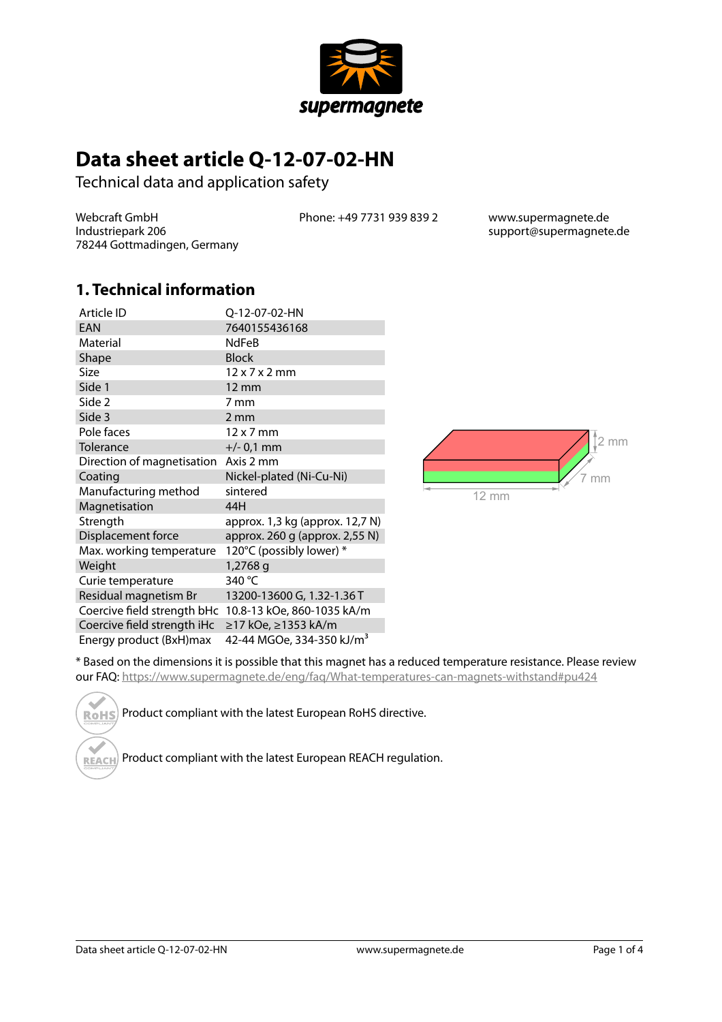

# **Data sheet article Q-12-07-02-HN**

Technical data and application safety

Webcraft GmbH Industriepark 206 78244 Gottmadingen, Germany Phone: +49 7731 939 839 2 www.supermagnete.de

support@supermagnete.de

#### **1. Technical information**

| Article ID                  | Q-12-07-02-HN                                          |
|-----------------------------|--------------------------------------------------------|
| EAN                         | 7640155436168                                          |
| Material                    | <b>NdFeB</b>                                           |
| Shape                       | <b>Block</b>                                           |
| Size                        | $12 \times 7 \times 2$ mm                              |
| Side 1                      | $12 \text{ mm}$                                        |
| Side 2                      | 7 mm                                                   |
| Side 3                      | $2 \, \text{mm}$                                       |
| Pole faces                  | $12 \times 7$ mm                                       |
| Tolerance                   | $+/- 0.1$ mm                                           |
| Direction of magnetisation  | Axis 2 mm                                              |
| Coating                     | Nickel-plated (Ni-Cu-Ni)                               |
| Manufacturing method        | sintered                                               |
| Magnetisation               | 44H                                                    |
| Strength                    | approx. 1,3 kg (approx. 12,7 N)                        |
| Displacement force          | approx. 260 g (approx. 2,55 N)                         |
| Max. working temperature    | 120°C (possibly lower) *                               |
| Weight                      | 1,2768 g                                               |
| Curie temperature           | 340 °C                                                 |
| Residual magnetism Br       | 13200-13600 G, 1.32-1.36 T                             |
|                             | Coercive field strength bHc 10.8-13 kOe, 860-1035 kA/m |
| Coercive field strength iHc | ≥17 kOe, ≥1353 kA/m                                    |
| Energy product (BxH)max     | 42-44 MGOe, 334-350 kJ/m <sup>3</sup>                  |



\* Based on the dimensions it is possible that this magnet has a reduced temperature resistance. Please review our FAQ: <https://www.supermagnete.de/eng/faq/What-temperatures-can-magnets-withstand#pu424>

Product compliant with the latest European RoHS directive. **RoHS** 

Product compliant with the latest European REACH regulation. **REACH**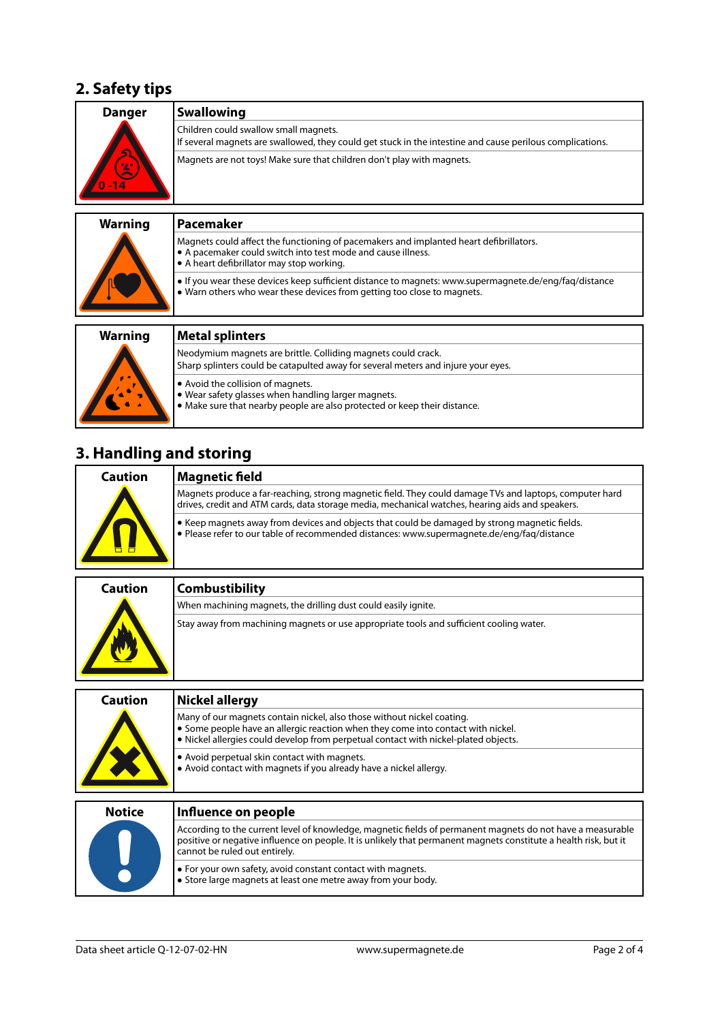#### **2. Safety tips**

| <b>Danger</b>  | <b>Swallowing</b>                                                                                                                                                                                   |
|----------------|-----------------------------------------------------------------------------------------------------------------------------------------------------------------------------------------------------|
|                | Children could swallow small magnets.<br>If several magnets are swallowed, they could get stuck in the intestine and cause perilous complications.                                                  |
|                | Magnets are not toys! Make sure that children don't play with magnets.                                                                                                                              |
| <b>Warning</b> | Pacemaker                                                                                                                                                                                           |
|                | Magnets could affect the functioning of pacemakers and implanted heart defibrillators.<br>• A pacemaker could switch into test mode and cause illness.<br>• A heart defibrillator may stop working. |
|                | If you wear these devices keep sufficient distance to magnets: www.supermagnete.de/eng/faq/distance<br>• Warn others who wear these devices from getting too close to magnets.                      |
| <b>Warning</b> | <b>Metal splinters</b>                                                                                                                                                                              |
|                | Neodymium magnets are brittle. Colliding magnets could crack.<br>Sharp splinters could be catapulted away for several meters and injure your eyes.                                                  |
|                | . Avoid the collision of magnets.<br>. Wear safety glasses when handling larger magnets.<br>• Make sure that nearby people are also protected or keep their distance.                               |

# **3. Handling and storing**

| Caution | <b>Magnetic field</b>                                                                                                                                                                                       |
|---------|-------------------------------------------------------------------------------------------------------------------------------------------------------------------------------------------------------------|
| H       | Magnets produce a far-reaching, strong magnetic field. They could damage TVs and laptops, computer hard<br>drives, credit and ATM cards, data storage media, mechanical watches, hearing aids and speakers. |
|         | • Keep magnets away from devices and objects that could be damaged by strong magnetic fields.<br>• Please refer to our table of recommended distances: www.supermagnete.de/eng/fag/distance                 |

| <b>Caution</b> | <b>Combustibility</b>                                                                   |
|----------------|-----------------------------------------------------------------------------------------|
|                | When machining magnets, the drilling dust could easily ignite.                          |
|                | Stay away from machining magnets or use appropriate tools and sufficient cooling water. |

| Caution       | <b>Nickel allergy</b>                                                                                                                                                                                                                                           |
|---------------|-----------------------------------------------------------------------------------------------------------------------------------------------------------------------------------------------------------------------------------------------------------------|
|               | Many of our magnets contain nickel, also those without nickel coating.<br>• Some people have an allergic reaction when they come into contact with nickel.<br>. Nickel allergies could develop from perpetual contact with nickel-plated objects.               |
|               | • Avoid perpetual skin contact with magnets.<br>• Avoid contact with magnets if you already have a nickel allergy.                                                                                                                                              |
|               |                                                                                                                                                                                                                                                                 |
| <b>Notice</b> | Influence on people                                                                                                                                                                                                                                             |
|               | According to the current level of knowledge, magnetic fields of permanent magnets do not have a measurable<br>positive or negative influence on people. It is unlikely that permanent magnets constitute a health risk, but it<br>cannot be ruled out entirely. |

**•** For your own safety, avoid constant contact with magnets. **•** Store large magnets at least one metre away from your body.

 $\left( \begin{array}{c} \end{array} \right)$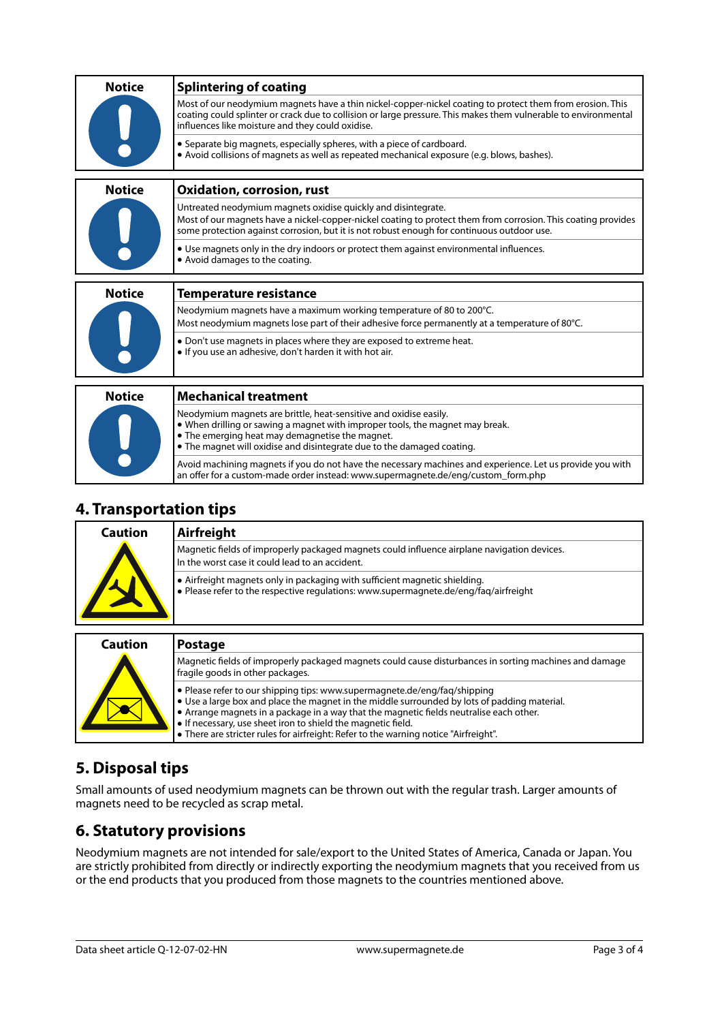| <b>Notice</b> | <b>Splintering of coating</b>                                                                                                                                                                                                                                                    |
|---------------|----------------------------------------------------------------------------------------------------------------------------------------------------------------------------------------------------------------------------------------------------------------------------------|
|               | Most of our neodymium magnets have a thin nickel-copper-nickel coating to protect them from erosion. This<br>coating could splinter or crack due to collision or large pressure. This makes them vulnerable to environmental<br>influences like moisture and they could oxidise. |
|               | • Separate big magnets, especially spheres, with a piece of cardboard.<br>• Avoid collisions of magnets as well as repeated mechanical exposure (e.g. blows, bashes).                                                                                                            |
| <b>Notice</b> | <b>Oxidation, corrosion, rust</b>                                                                                                                                                                                                                                                |
|               | Untreated neodymium magnets oxidise quickly and disintegrate.<br>Most of our magnets have a nickel-copper-nickel coating to protect them from corrosion. This coating provides<br>some protection against corrosion, but it is not robust enough for continuous outdoor use.     |
|               | • Use magnets only in the dry indoors or protect them against environmental influences.<br>• Avoid damages to the coating.                                                                                                                                                       |
| <b>Notice</b> | <b>Temperature resistance</b>                                                                                                                                                                                                                                                    |
|               | Neodymium magnets have a maximum working temperature of 80 to 200°C.                                                                                                                                                                                                             |
|               | Most neodymium magnets lose part of their adhesive force permanently at a temperature of 80°C.                                                                                                                                                                                   |
|               | • Don't use magnets in places where they are exposed to extreme heat.<br>. If you use an adhesive, don't harden it with hot air.                                                                                                                                                 |
|               |                                                                                                                                                                                                                                                                                  |
| <b>Notice</b> | <b>Mechanical treatment</b>                                                                                                                                                                                                                                                      |
|               | Neodymium magnets are brittle, heat-sensitive and oxidise easily.<br>• When drilling or sawing a magnet with improper tools, the magnet may break.<br>• The emerging heat may demagnetise the magnet.<br>• The magnet will oxidise and disintegrate due to the damaged coating.  |
|               | Avoid machining magnets if you do not have the necessary machines and experience. Let us provide you with                                                                                                                                                                        |

#### **4. Transportation tips**

| Caution | Airfreight                                                                                                                                                         |
|---------|--------------------------------------------------------------------------------------------------------------------------------------------------------------------|
|         | Magnetic fields of improperly packaged magnets could influence airplane navigation devices.<br>In the worst case it could lead to an accident.                     |
|         | • Airfreight magnets only in packaging with sufficient magnetic shielding.<br>• Please refer to the respective regulations: www.supermagnete.de/eng/fag/airfreight |

an offer for a custom-made order instead: [www.supermagnete.de/eng/custom\\_form.php](http://www.supermagnete.de/eng/custom_form.php)

| Caution | <b>Postage</b>                                                                                                                                                                                                                                                                                                                                                                                                               |
|---------|------------------------------------------------------------------------------------------------------------------------------------------------------------------------------------------------------------------------------------------------------------------------------------------------------------------------------------------------------------------------------------------------------------------------------|
|         | Magnetic fields of improperly packaged magnets could cause disturbances in sorting machines and damage<br>fragile goods in other packages.                                                                                                                                                                                                                                                                                   |
|         | • Please refer to our shipping tips: www.supermagnete.de/eng/fag/shipping<br>. Use a large box and place the magnet in the middle surrounded by lots of padding material.<br>• Arrange magnets in a package in a way that the magnetic fields neutralise each other.<br>. If necessary, use sheet iron to shield the magnetic field.<br>• There are stricter rules for airfreight: Refer to the warning notice "Airfreight". |

## **5. Disposal tips**

Small amounts of used neodymium magnets can be thrown out with the regular trash. Larger amounts of magnets need to be recycled as scrap metal.

### **6. Statutory provisions**

Neodymium magnets are not intended for sale/export to the United States of America, Canada or Japan. You are strictly prohibited from directly or indirectly exporting the neodymium magnets that you received from us or the end products that you produced from those magnets to the countries mentioned above.